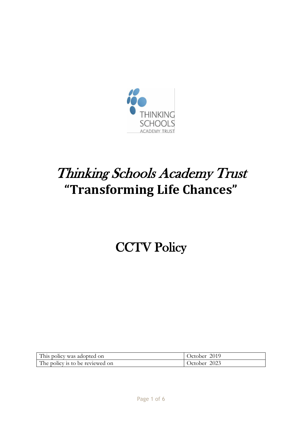

# Thinking Schools Academy Trust **"Transforming Life Chances"**

# **CCTV Policy**

| This policy was adopted on      | October 2019 |
|---------------------------------|--------------|
| The policy is to be reviewed on | October 2023 |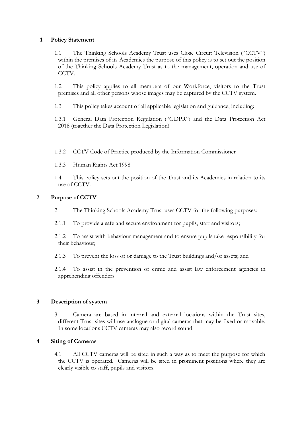#### **1 Policy Statement**

- 1.1 The Thinking Schools Academy Trust uses Close Circuit Television ("CCTV") within the premises of its Academies the purpose of this policy is to set out the position of the Thinking Schools Academy Trust as to the management, operation and use of CCTV.
- 1.2 This policy applies to all members of our Workforce, visitors to the Trust premises and all other persons whose images may be captured by the CCTV system.
- 1.3 This policy takes account of all applicable legislation and guidance, including:
- 1.3.1 General Data Protection Regulation ("GDPR") and the Data Protection Act 2018 (together the Data Protection Legislation)
- 1.3.2 CCTV Code of Practice produced by the Information Commissioner
- 1.3.3 Human Rights Act 1998
- 1.4 This policy sets out the position of the Trust and its Academies in relation to its use of CCTV.

#### **2 Purpose of CCTV**

- 2.1 The Thinking Schools Academy Trust uses CCTV for the following purposes:
- 2.1.1 To provide a safe and secure environment for pupils, staff and visitors;
- 2.1.2 To assist with behaviour management and to ensure pupils take responsibility for their behaviour;
- 2.1.3 To prevent the loss of or damage to the Trust buildings and/or assets; and
- 2.1.4 To assist in the prevention of crime and assist law enforcement agencies in apprehending offenders

# **3 Description of system**

3.1 Camera are based in internal and external locations within the Trust sites, different Trust sites will use analogue or digital cameras that may be fixed or movable. In some locations CCTV cameras may also record sound.

#### **4 Siting of Cameras**

4.1 All CCTV cameras will be sited in such a way as to meet the purpose for which the CCTV is operated. Cameras will be sited in prominent positions where they are clearly visible to staff, pupils and visitors.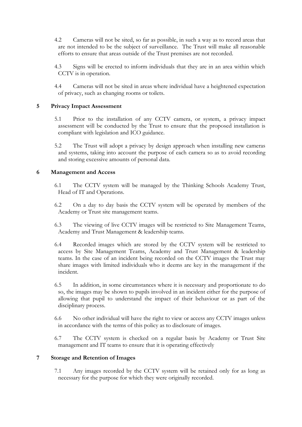- 4.2 Cameras will not be sited, so far as possible, in such a way as to record areas that are not intended to be the subject of surveillance. The Trust will make all reasonable efforts to ensure that areas outside of the Trust premises are not recorded.
- 4.3 Signs will be erected to inform individuals that they are in an area within which CCTV is in operation.
- 4.4 Cameras will not be sited in areas where individual have a heightened expectation of privacy, such as changing rooms or toilets.

### **5 Privacy Impact Assessment**

- 5.1 Prior to the installation of any CCTV camera, or system, a privacy impact assessment will be conducted by the Trust to ensure that the proposed installation is compliant with legislation and ICO guidance.
- 5.2 The Trust will adopt a privacy by design approach when installing new cameras and systems, taking into account the purpose of each camera so as to avoid recording and storing excessive amounts of personal data.

#### **6 Management and Access**

- 6.1 The CCTV system will be managed by the Thinking Schools Academy Trust, Head of IT and Operations.
- 6.2 On a day to day basis the CCTV system will be operated by members of the Academy or Trust site management teams.
- 6.3 The viewing of live CCTV images will be restricted to Site Management Teams, Academy and Trust Management & leadership teams.
- 6.4 Recorded images which are stored by the CCTV system will be restricted to access by Site Management Teams, Academy and Trust Management & leadership teams. In the case of an incident being recorded on the CCTV images the Trust may share images with limited individuals who it deems are key in the management if the incident.
- 6.5 In addition, in some circumstances where it is necessary and proportionate to do so, the images may be shown to pupils involved in an incident either for the purpose of allowing that pupil to understand the impact of their behaviour or as part of the disciplinary process.
- 6.6 No other individual will have the right to view or access any CCTV images unless in accordance with the terms of this policy as to disclosure of images.
- 6.7 The CCTV system is checked on a regular basis by Academy or Trust Site management and IT teams to ensure that it is operating effectively

# **7 Storage and Retention of Images**

7.1 Any images recorded by the CCTV system will be retained only for as long as necessary for the purpose for which they were originally recorded.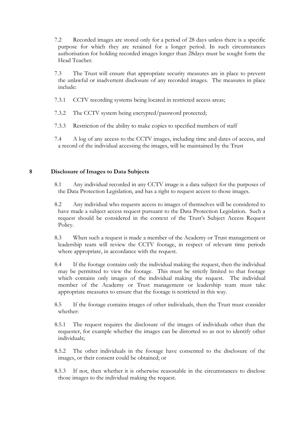- 7.2 Recorded images are stored only for a period of 28 days unless there is a specific purpose for which they are retained for a longer period. In such circumstances authorisation for holding recorded images longer than 28days must be sought form the Head Teacher.
- 7.3 The Trust will ensure that appropriate security measures are in place to prevent the unlawful or inadvertent disclosure of any recorded images. The measures in place include:
- 7.3.1 CCTV recording systems being located in restricted access areas;
- 7.3.2 The CCTV system being encrypted/password protected;
- 7.3.3 Restriction of the ability to make copies to specified members of staff
- 7.4 A log of any access to the CCTV images, including time and dates of access, and a record of the individual accessing the images, will be maintained by the Trust

#### **8 Disclosure of Images to Data Subjects**

- 8.1 Any individual recorded in any CCTV image is a data subject for the purposes of the Data Protection Legislation, and has a right to request access to those images.
- 8.2 Any individual who requests access to images of themselves will be considered to have made a subject access request pursuant to the Data Protection Legislation. Such a request should be considered in the context of the Trust's Subject Access Request Policy.
- 8.3 When such a request is made a member of the Academy or Trust management or leadership team will review the CCTV footage, in respect of relevant time periods where appropriate, in accordance with the request.
- 8.4 If the footage contains only the individual making the request, then the individual may be permitted to view the footage. This must be strictly limited to that footage which contains only images of the individual making the request. The individual member of the Academy or Trust management or leadership team must take appropriate measures to ensure that the footage is restricted in this way.
- 8.5 If the footage contains images of other individuals, then the Trust must consider whether:
- 8.5.1 The request requires the disclosure of the images of individuals other than the requester, for example whether the images can be distorted so as not to identify other individuals;
- 8.5.2 The other individuals in the footage have consented to the disclosure of the images, or their consent could be obtained; or
- 8.5.3 If not, then whether it is otherwise reasonable in the circumstances to disclose those images to the individual making the request.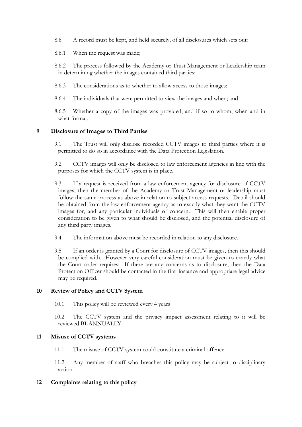- 8.6 A record must be kept, and held securely, of all disclosures which sets out:
- 8.6.1 When the request was made;

8.6.2 The process followed by the Academy or Trust Management or Leadership team in determining whether the images contained third parties;

- 8.6.3 The considerations as to whether to allow access to those images;
- 8.6.4 The individuals that were permitted to view the images and when; and

8.6.5 Whether a copy of the images was provided, and if so to whom, when and in what format.

#### **9 Disclosure of Images to Third Parties**

- 9.1 The Trust will only disclose recorded CCTV images to third parties where it is permitted to do so in accordance with the Data Protection Legislation.
- 9.2 CCTV images will only be disclosed to law enforcement agencies in line with the purposes for which the CCTV system is in place.
- 9.3 If a request is received from a law enforcement agency for disclosure of CCTV images, then the member of the Academy or Trust Management or leadership must follow the same process as above in relation to subject access requests. Detail should be obtained from the law enforcement agency as to exactly what they want the CCTV images for, and any particular individuals of concern. This will then enable proper consideration to be given to what should be disclosed, and the potential disclosure of any third party images.
- 9.4 The information above must be recorded in relation to any disclosure.
- 9.5 If an order is granted by a Court for disclosure of CCTV images, then this should be complied with. However very careful consideration must be given to exactly what the Court order requires. If there are any concerns as to disclosure, then the Data Protection Officer should be contacted in the first instance and appropriate legal advice may be required.

#### **10 Review of Policy and CCTV System**

10.1 This policy will be reviewed every 4 years

10.2 The CCTV system and the privacy impact assessment relating to it will be reviewed BI-ANNUALLY.

#### **11 Misuse of CCTV systems**

11.1 The misuse of CCTV system could constitute a criminal offence.

11.2 Any member of staff who breaches this policy may be subject to disciplinary action.

#### **12 Complaints relating to this policy**